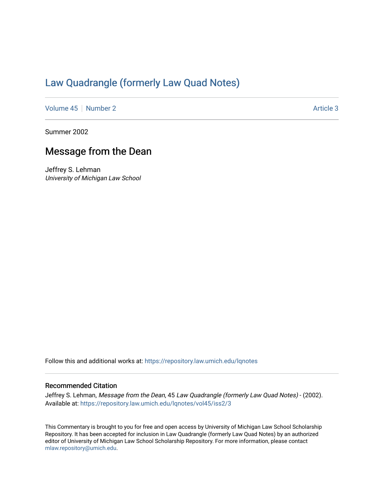## [Law Quadrangle \(formerly Law Quad Notes\)](https://repository.law.umich.edu/lqnotes)

[Volume 45](https://repository.law.umich.edu/lqnotes/vol45) | [Number 2](https://repository.law.umich.edu/lqnotes/vol45/iss2) Article 3

Summer 2002

## Message from the Dean

Jeffrey S. Lehman University of Michigan Law School

Follow this and additional works at: [https://repository.law.umich.edu/lqnotes](https://repository.law.umich.edu/lqnotes?utm_source=repository.law.umich.edu%2Flqnotes%2Fvol45%2Fiss2%2F3&utm_medium=PDF&utm_campaign=PDFCoverPages) 

## Recommended Citation

Jeffrey S. Lehman, Message from the Dean, 45 Law Quadrangle (formerly Law Quad Notes) - (2002). Available at: [https://repository.law.umich.edu/lqnotes/vol45/iss2/3](https://repository.law.umich.edu/lqnotes/vol45/iss2/3?utm_source=repository.law.umich.edu%2Flqnotes%2Fvol45%2Fiss2%2F3&utm_medium=PDF&utm_campaign=PDFCoverPages) 

This Commentary is brought to you for free and open access by University of Michigan Law School Scholarship Repository. It has been accepted for inclusion in Law Quadrangle (formerly Law Quad Notes) by an authorized editor of University of Michigan Law School Scholarship Repository. For more information, please contact [mlaw.repository@umich.edu.](mailto:mlaw.repository@umich.edu)